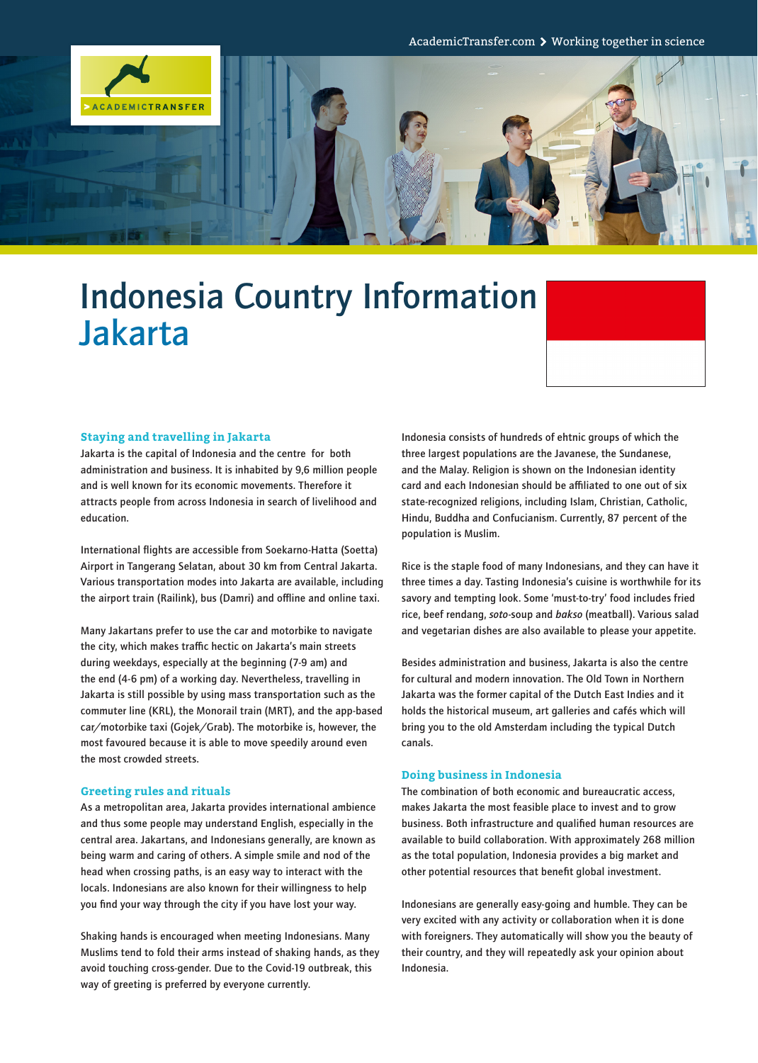

# Indonesia Country Information Jakarta



#### **Staying and travelling in Jakarta**

Jakarta is the capital of Indonesia and the centre for both administration and business. It is inhabited by 9,6 million people and is well known for its economic movements. Therefore it attracts people from across Indonesia in search of livelihood and education.

International flights are accessible from Soekarno-Hatta (Soetta) Airport in Tangerang Selatan, about 30 km from Central Jakarta. Various transportation modes into Jakarta are available, including the airport train (Railink), bus (Damri) and offline and online taxi.

Many Jakartans prefer to use the car and motorbike to navigate the city, which makes traffic hectic on Jakarta's main streets during weekdays, especially at the beginning (7-9 am) and the end (4-6 pm) of a working day. Nevertheless, travelling in Jakarta is still possible by using mass transportation such as the commuter line (KRL), the Monorail train (MRT), and the app-based car/motorbike taxi (Gojek/Grab). The motorbike is, however, the most favoured because it is able to move speedily around even the most crowded streets.

#### **Greeting rules and rituals**

As a metropolitan area, Jakarta provides international ambience and thus some people may understand English, especially in the central area. Jakartans, and Indonesians generally, are known as being warm and caring of others. A simple smile and nod of the head when crossing paths, is an easy way to interact with the locals. Indonesians are also known for their willingness to help you find your way through the city if you have lost your way.

Shaking hands is encouraged when meeting Indonesians. Many Muslims tend to fold their arms instead of shaking hands, as they avoid touching cross-gender. Due to the Covid-19 outbreak, this way of greeting is preferred by everyone currently.

Indonesia consists of hundreds of ehtnic groups of which the three largest populations are the Javanese, the Sundanese, and the Malay. Religion is shown on the Indonesian identity card and each Indonesian should be affiliated to one out of six state-recognized religions, including Islam, Christian, Catholic, Hindu, Buddha and Confucianism. Currently, 87 percent of the population is Muslim.

Rice is the staple food of many Indonesians, and they can have it three times a day. Tasting Indonesia's cuisine is worthwhile for its savory and tempting look. Some 'must-to-try' food includes fried rice, beef rendang, *soto*-soup and *bakso* (meatball). Various salad and vegetarian dishes are also available to please your appetite.

Besides administration and business, Jakarta is also the centre for cultural and modern innovation. The Old Town in Northern Jakarta was the former capital of the Dutch East Indies and it holds the historical museum, art galleries and cafés which will bring you to the old Amsterdam including the typical Dutch canals.

#### **Doing business in Indonesia**

The combination of both economic and bureaucratic access, makes Jakarta the most feasible place to invest and to grow business. Both infrastructure and qualified human resources are available to build collaboration. With approximately 268 million as the total population, Indonesia provides a big market and other potential resources that benefit global investment.

Indonesians are generally easy-going and humble. They can be very excited with any activity or collaboration when it is done with foreigners. They automatically will show you the beauty of their country, and they will repeatedly ask your opinion about Indonesia.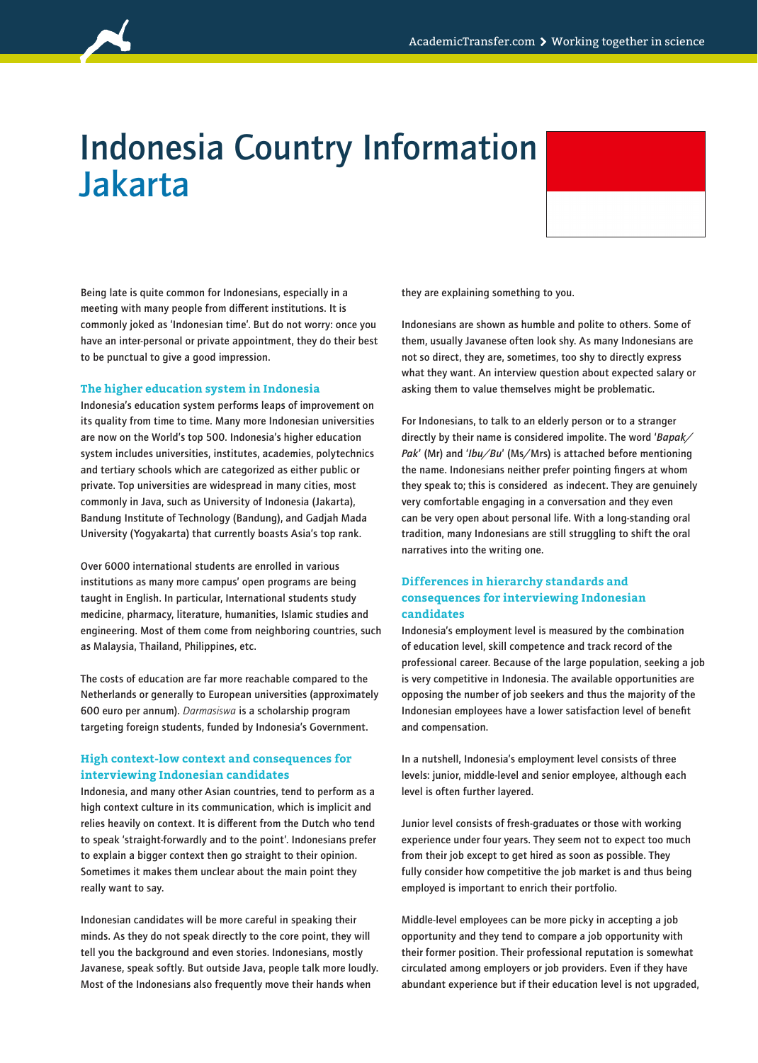

## Indonesia Country Information Jakarta



Being late is quite common for Indonesians, especially in a meeting with many people from different institutions. It is commonly joked as 'Indonesian time'. But do not worry: once you have an inter-personal or private appointment, they do their best to be punctual to give a good impression.

#### **The higher education system in Indonesia**

Indonesia's education system performs leaps of improvement on its quality from time to time. Many more Indonesian universities are now on the World's top 500. Indonesia's higher education system includes universities, institutes, academies, polytechnics and tertiary schools which are categorized as either public or private. Top universities are widespread in many cities, most commonly in Java, such as University of Indonesia (Jakarta), Bandung Institute of Technology (Bandung), and Gadjah Mada University (Yogyakarta) that currently boasts Asia's top rank.

Over 6000 international students are enrolled in various institutions as many more campus' open programs are being taught in English. In particular, International students study medicine, pharmacy, literature, humanities, Islamic studies and engineering. Most of them come from neighboring countries, such as Malaysia, Thailand, Philippines, etc.

The costs of education are far more reachable compared to the Netherlands or generally to European universities (approximately 600 euro per annum). *Darmasiswa* is a scholarship program targeting foreign students, funded by Indonesia's Government.

## **High context-low context and consequences for interviewing Indonesian candidates**

Indonesia, and many other Asian countries, tend to perform as a high context culture in its communication, which is implicit and relies heavily on context. It is different from the Dutch who tend to speak 'straight-forwardly and to the point'. Indonesians prefer to explain a bigger context then go straight to their opinion. Sometimes it makes them unclear about the main point they really want to say.

Indonesian candidates will be more careful in speaking their minds. As they do not speak directly to the core point, they will tell you the background and even stories. Indonesians, mostly Javanese, speak softly. But outside Java, people talk more loudly. Most of the Indonesians also frequently move their hands when

they are explaining something to you.

Indonesians are shown as humble and polite to others. Some of them, usually Javanese often look shy. As many Indonesians are not so direct, they are, sometimes, too shy to directly express what they want. An interview question about expected salary or asking them to value themselves might be problematic.

For Indonesians, to talk to an elderly person or to a stranger directly by their name is considered impolite. The word '*Bapak/ Pak*' (Mr) and '*Ibu/Bu*' (Ms/Mrs) is attached before mentioning the name. Indonesians neither prefer pointing fingers at whom they speak to; this is considered as indecent. They are genuinely very comfortable engaging in a conversation and they even can be very open about personal life. With a long-standing oral tradition, many Indonesians are still struggling to shift the oral narratives into the writing one.

## **Differences in hierarchy standards and consequences for interviewing Indonesian candidates**

Indonesia's employment level is measured by the combination of education level, skill competence and track record of the professional career. Because of the large population, seeking a job is very competitive in Indonesia. The available opportunities are opposing the number of job seekers and thus the majority of the Indonesian employees have a lower satisfaction level of benefit and compensation.

In a nutshell, Indonesia's employment level consists of three levels: junior, middle-level and senior employee, although each level is often further layered.

Junior level consists of fresh-graduates or those with working experience under four years. They seem not to expect too much from their job except to get hired as soon as possible. They fully consider how competitive the job market is and thus being employed is important to enrich their portfolio.

Middle-level employees can be more picky in accepting a job opportunity and they tend to compare a job opportunity with their former position. Their professional reputation is somewhat circulated among employers or job providers. Even if they have abundant experience but if their education level is not upgraded,